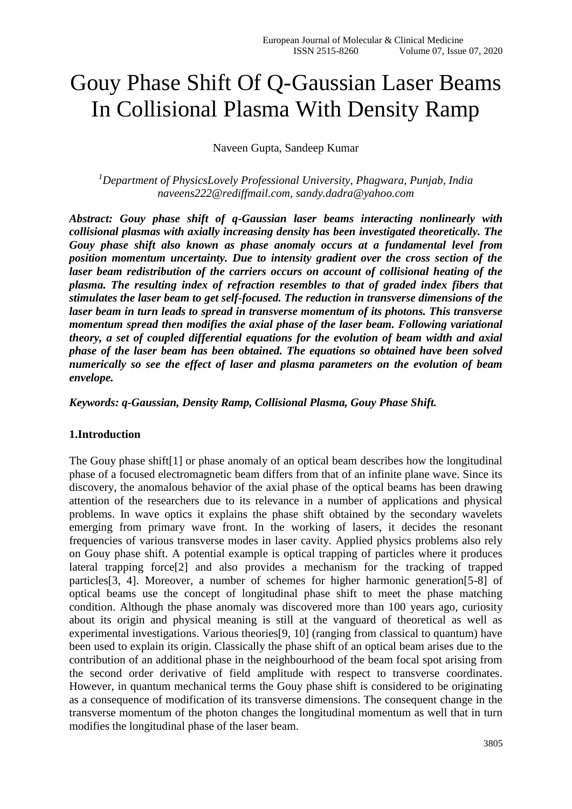# Gouy Phase Shift Of Q-Gaussian Laser Beams In Collisional Plasma With Density Ramp

Naveen Gupta, Sandeep Kumar

*<sup>1</sup>Department of PhysicsLovely Professional University, Phagwara, Punjab, India [naveens222@rediffmail.com,](mailto:naveens222@rediffmail.com) sandy.dadra@yahoo.com*

*Abstract: Gouy phase shift of q-Gaussian laser beams interacting nonlinearly with collisional plasmas with axially increasing density has been investigated theoretically. The Gouy phase shift also known as phase anomaly occurs at a fundamental level from position momentum uncertainty. Due to intensity gradient over the cross section of the laser beam redistribution of the carriers occurs on account of collisional heating of the plasma. The resulting index of refraction resembles to that of graded index fibers that stimulates the laser beam to get self-focused. The reduction in transverse dimensions of the laser beam in turn leads to spread in transverse momentum of its photons. This transverse momentum spread then modifies the axial phase of the laser beam. Following variational theory, a set of coupled differential equations for the evolution of beam width and axial phase of the laser beam has been obtained. The equations so obtained have been solved numerically so see the effect of laser and plasma parameters on the evolution of beam envelope.*

*Keywords: q-Gaussian, Density Ramp, Collisional Plasma, Gouy Phase Shift.*

## **1.Introduction**

The Gouy phase shift[1] or phase anomaly of an optical beam describes how the longitudinal phase of a focused electromagnetic beam differs from that of an infinite plane wave. Since its discovery, the anomalous behavior of the axial phase of the optical beams has been drawing attention of the researchers due to its relevance in a number of applications and physical problems. In wave optics it explains the phase shift obtained by the secondary wavelets emerging from primary wave front. In the working of lasers, it decides the resonant frequencies of various transverse modes in laser cavity. Applied physics problems also rely on Gouy phase shift. A potential example is optical trapping of particles where it produces lateral trapping force[2] and also provides a mechanism for the tracking of trapped particles[3, 4]. Moreover, a number of schemes for higher harmonic generation[5-8] of optical beams use the concept of longitudinal phase shift to meet the phase matching condition. Although the phase anomaly was discovered more than 100 years ago, curiosity about its origin and physical meaning is still at the vanguard of theoretical as well as experimental investigations. Various theories[9, 10] (ranging from classical to quantum) have been used to explain its origin. Classically the phase shift of an optical beam arises due to the contribution of an additional phase in the neighbourhood of the beam focal spot arising from the second order derivative of field amplitude with respect to transverse coordinates. However, in quantum mechanical terms the Gouy phase shift is considered to be originating as a consequence of modification of its transverse dimensions. The consequent change in the transverse momentum of the photon changes the longitudinal momentum as well that in turn modifies the longitudinal phase of the laser beam.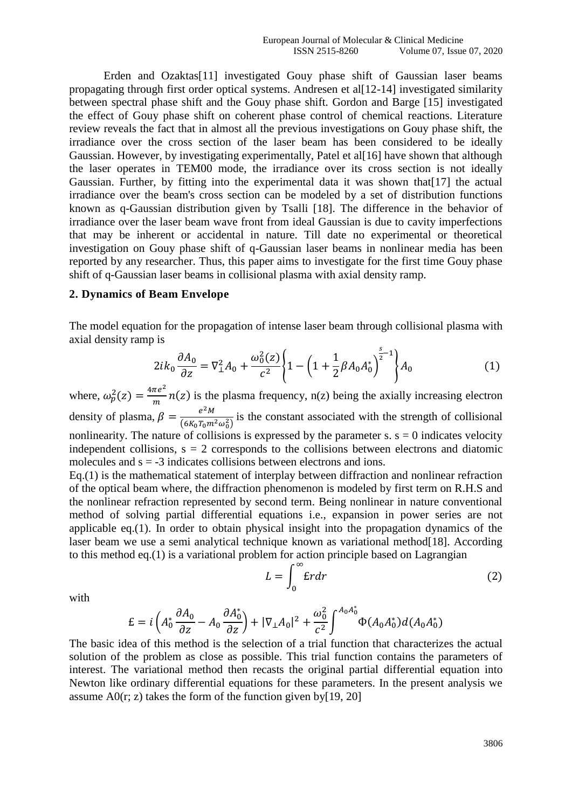Erden and Ozaktas[11] investigated Gouy phase shift of Gaussian laser beams propagating through first order optical systems. Andresen et al[12-14] investigated similarity between spectral phase shift and the Gouy phase shift. Gordon and Barge [15] investigated the effect of Gouy phase shift on coherent phase control of chemical reactions. Literature review reveals the fact that in almost all the previous investigations on Gouy phase shift, the irradiance over the cross section of the laser beam has been considered to be ideally Gaussian. However, by investigating experimentally, Patel et all [16] have shown that although the laser operates in TEM00 mode, the irradiance over its cross section is not ideally Gaussian. Further, by fitting into the experimental data it was shown that[17] the actual irradiance over the beam's cross section can be modeled by a set of distribution functions known as q-Gaussian distribution given by Tsalli [18]. The difference in the behavior of irradiance over the laser beam wave front from ideal Gaussian is due to cavity imperfections that may be inherent or accidental in nature. Till date no experimental or theoretical investigation on Gouy phase shift of q-Gaussian laser beams in nonlinear media has been reported by any researcher. Thus, this paper aims to investigate for the first time Gouy phase shift of q-Gaussian laser beams in collisional plasma with axial density ramp.

#### **2. Dynamics of Beam Envelope**

The model equation for the propagation of intense laser beam through collisional plasma with axial density ramp is

$$
2ik_0 \frac{\partial A_0}{\partial z} = \nabla_{\perp}^2 A_0 + \frac{\omega_0^2(z)}{c^2} \left\{ 1 - \left( 1 + \frac{1}{2} \beta A_0 A_0^* \right)^{\frac{s}{2} - 1} \right\} A_0 \tag{1}
$$

where,  $\omega_p^2(z) = \frac{4\pi e^2}{m}$  $\frac{ne^2}{m}$  n(z) is the plasma frequency, n(z) being the axially increasing electron density of plasma,  $\beta = \frac{e^2 M}{(6.8 \text{ m})^2}$  $\frac{e^{-\mu t}}{(6K_0T_0m^2\omega_0^2)}$  is the constant associated with the strength of collisional nonlinearity. The nature of collisions is expressed by the parameter s.  $s = 0$  indicates velocity independent collisions,  $s = 2$  corresponds to the collisions between electrons and diatomic molecules and  $s = -3$  indicates collisions between electrons and ions.

Eq.(1) is the mathematical statement of interplay between diffraction and nonlinear refraction of the optical beam where, the diffraction phenomenon is modeled by first term on R.H.S and the nonlinear refraction represented by second term. Being nonlinear in nature conventional method of solving partial differential equations i.e., expansion in power series are not applicable eq.(1). In order to obtain physical insight into the propagation dynamics of the laser beam we use a semi analytical technique known as variational method [18]. According to this method eq.(1) is a variational problem for action principle based on Lagrangian

$$
L = \int_0^\infty \mathbf{E} r dr \tag{2}
$$

with

$$
\mathcal{E} = i \left( A_0^* \frac{\partial A_0}{\partial z} - A_0 \frac{\partial A_0^*}{\partial z} \right) + |\nabla_\perp A_0|^2 + \frac{\omega_0^2}{c^2} \int^{A_0 A_0^*} \Phi(A_0 A_0^*) d(A_0 A_0^*)
$$

The basic idea of this method is the selection of a trial function that characterizes the actual solution of the problem as close as possible. This trial function contains the parameters of interest. The variational method then recasts the original partial differential equation into Newton like ordinary differential equations for these parameters. In the present analysis we assume  $A0(r; z)$  takes the form of the function given by [19, 20]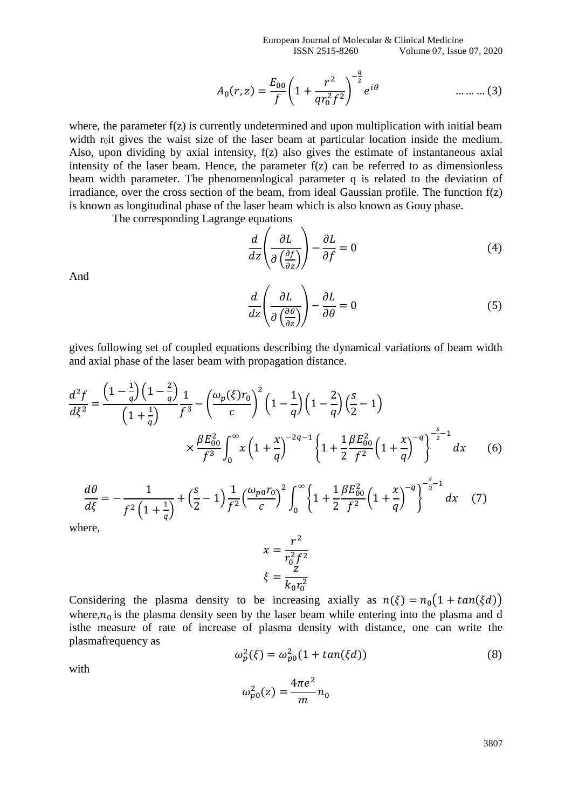European Journal of Molecular & Clinical Medicine ISSN 2515-8260 Volume 07, Issue 07, 2020

$$
A_0(r,z) = \frac{E_{00}}{f} \left( 1 + \frac{r^2}{q r_0^2 f^2} \right)^{-\frac{q}{2}} e^{i\theta} \qquad \qquad \dots \dots \dots (3)
$$

where, the parameter  $f(z)$  is currently undetermined and upon multiplication with initial beam width r<sub>0</sub>it gives the waist size of the laser beam at particular location inside the medium. Also, upon dividing by axial intensity, f(z) also gives the estimate of instantaneous axial intensity of the laser beam. Hence, the parameter f(z) can be referred to as dimensionless beam width parameter. The phenomenological parameter q is related to the deviation of irradiance, over the cross section of the beam, from ideal Gaussian profile. The function  $f(z)$ is known as longitudinal phase of the laser beam which is also known as Gouy phase.

The corresponding Lagrange equations

$$
\frac{d}{dz}\left(\frac{\partial L}{\partial \left(\frac{\partial f}{\partial z}\right)}\right) - \frac{\partial L}{\partial f} = 0\tag{4}
$$

And

$$
\frac{d}{dz}\left(\frac{\partial L}{\partial \left(\frac{\partial \theta}{\partial z}\right)}\right) - \frac{\partial L}{\partial \theta} = 0\tag{5}
$$

gives following set of coupled equations describing the dynamical variations of beam width and axial phase of the laser beam with propagation distance.

$$
\frac{d^2 f}{d\xi^2} = \frac{\left(1 - \frac{1}{q}\right)\left(1 - \frac{2}{q}\right)}{\left(1 + \frac{1}{q}\right)} \frac{1}{f^3} - \left(\frac{\omega_p(\xi) r_0}{c}\right)^2 \left(1 - \frac{1}{q}\right)\left(1 - \frac{2}{q}\right)\left(\frac{s}{2} - 1\right)
$$
\n
$$
\times \frac{\beta E_{00}^2}{f^3} \int_0^\infty x \left(1 + \frac{x}{q}\right)^{-2q - 1} \left\{1 + \frac{1}{2} \frac{\beta E_{00}^2}{f^2} \left(1 + \frac{x}{q}\right)^{-q}\right\}^{-\frac{s}{2} - 1} dx \qquad (6)
$$
\n
$$
\frac{d\theta}{d\xi} = -\frac{1}{f^2 \left(1 + \frac{1}{2}\right)} + \left(\frac{s}{2} - 1\right) \frac{1}{f^2} \left(\frac{\omega_{p0} r_0}{c}\right)^2 \int_0^\infty \left\{1 + \frac{1}{2} \frac{\beta E_{00}^2}{f^2} \left(1 + \frac{x}{q}\right)^{-q}\right\}^{-\frac{s}{2} - 1} dx \qquad (7)
$$

 $\frac{1}{1}$   $\frac{1}{1}$ 

0

2

where,

 $\frac{d\vec{\xi}}{d\xi} = -$ 

 $f^{2}(1+\frac{1}{2})$ 

 $\frac{1}{q}$ 

+ (

2 − 1)

$$
x = \frac{r^2}{r_0^2 f^2}
$$

$$
\xi = \frac{z}{k_0 r_0^2}
$$

 $\mathcal{C}_{0}$ )

Considering the plasma density to be increasing axially as  $n(\xi) = n_0(1 + \tan(\xi d))$ where, $n_0$  is the plasma density seen by the laser beam while entering into the plasma and d isthe measure of rate of increase of plasma density with distance, one can write the plasmafrequency as

$$
\omega_p^2(\xi) = \omega_{p0}^2 (1 + \tan(\xi d)) \tag{8}
$$

 $\frac{200}{f^2}\Big(1 +$ 

 $\overline{q}$ ) }

 $dx$  (7)

with

$$
\omega_{p0}^2(z) = \frac{4\pi e^2}{m} n_0
$$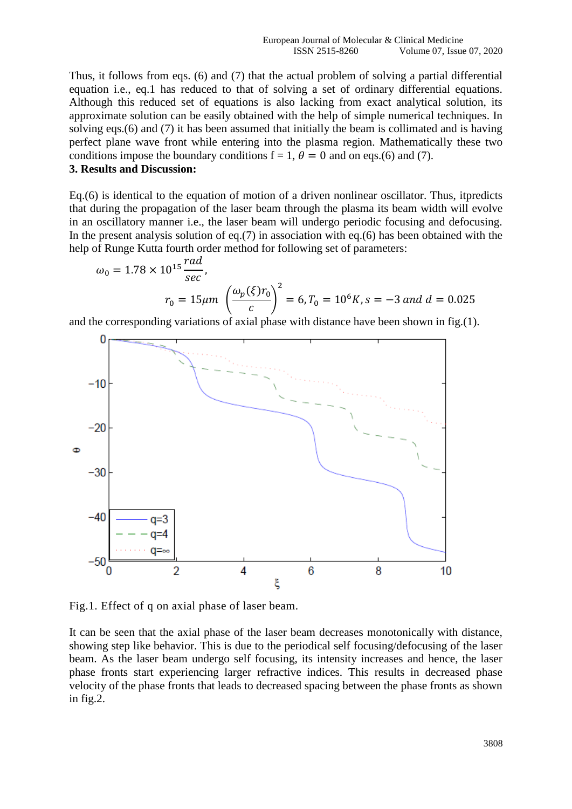Thus, it follows from eqs. (6) and (7) that the actual problem of solving a partial differential equation i.e., eq.1 has reduced to that of solving a set of ordinary differential equations. Although this reduced set of equations is also lacking from exact analytical solution, its approximate solution can be easily obtained with the help of simple numerical techniques. In solving eqs.(6) and (7) it has been assumed that initially the beam is collimated and is having perfect plane wave front while entering into the plasma region. Mathematically these two conditions impose the boundary conditions  $f = 1$ ,  $\theta = 0$  and on eqs.(6) and (7).

## **3. Results and Discussion:**

Eq.(6) is identical to the equation of motion of a driven nonlinear oscillator. Thus, itpredicts that during the propagation of the laser beam through the plasma its beam width will evolve in an oscillatory manner i.e., the laser beam will undergo periodic focusing and defocusing. In the present analysis solution of eq.(7) in association with eq.(6) has been obtained with the help of Runge Kutta fourth order method for following set of parameters:

$$
\omega_0 = 1.78 \times 10^{15} \frac{rad}{sec},
$$
  

$$
r_0 = 15 \mu m \left( \frac{\omega_p(\xi) r_0}{c} \right)^2 = 6, T_0 = 10^6 K, s = -3 \text{ and } d = 0.025
$$

and the corresponding variations of axial phase with distance have been shown in fig.(1).



Fig.1. Effect of q on axial phase of laser beam.

It can be seen that the axial phase of the laser beam decreases monotonically with distance, showing step like behavior. This is due to the periodical self focusing/defocusing of the laser beam. As the laser beam undergo self focusing, its intensity increases and hence, the laser phase fronts start experiencing larger refractive indices. This results in decreased phase velocity of the phase fronts that leads to decreased spacing between the phase fronts as shown in fig.2.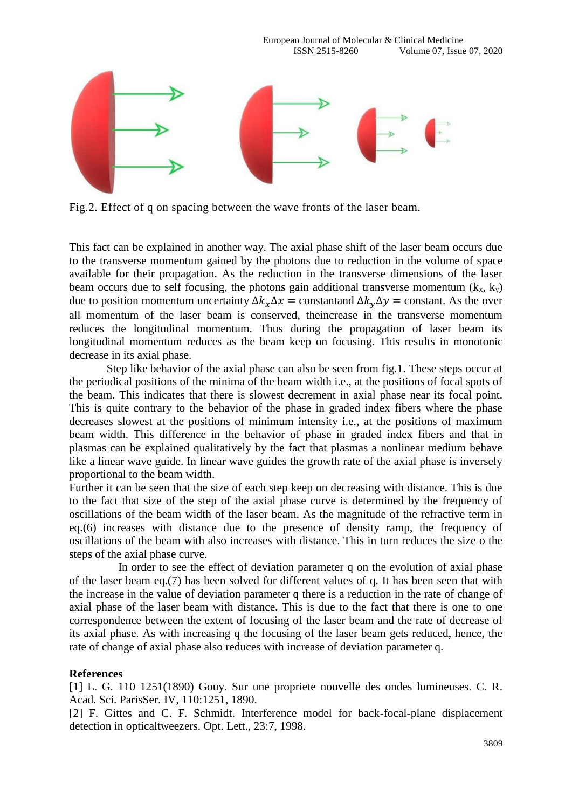

Fig.2. Effect of q on spacing between the wave fronts of the laser beam.

This fact can be explained in another way. The axial phase shift of the laser beam occurs due to the transverse momentum gained by the photons due to reduction in the volume of space available for their propagation. As the reduction in the transverse dimensions of the laser beam occurs due to self focusing, the photons gain additional transverse momentum  $(k_x, k_y)$ due to position momentum uncertainty  $\Delta k_{x} \Delta x =$  constant  $\Delta k_{y} \Delta y =$  constant. As the over all momentum of the laser beam is conserved, theincrease in the transverse momentum reduces the longitudinal momentum. Thus during the propagation of laser beam its longitudinal momentum reduces as the beam keep on focusing. This results in monotonic decrease in its axial phase.

 Step like behavior of the axial phase can also be seen from fig.1. These steps occur at the periodical positions of the minima of the beam width i.e., at the positions of focal spots of the beam. This indicates that there is slowest decrement in axial phase near its focal point. This is quite contrary to the behavior of the phase in graded index fibers where the phase decreases slowest at the positions of minimum intensity i.e., at the positions of maximum beam width. This difference in the behavior of phase in graded index fibers and that in plasmas can be explained qualitatively by the fact that plasmas a nonlinear medium behave like a linear wave guide. In linear wave guides the growth rate of the axial phase is inversely proportional to the beam width.

Further it can be seen that the size of each step keep on decreasing with distance. This is due to the fact that size of the step of the axial phase curve is determined by the frequency of oscillations of the beam width of the laser beam. As the magnitude of the refractive term in eq.(6) increases with distance due to the presence of density ramp, the frequency of oscillations of the beam with also increases with distance. This in turn reduces the size o the steps of the axial phase curve.

 In order to see the effect of deviation parameter q on the evolution of axial phase of the laser beam eq.(7) has been solved for different values of q. It has been seen that with the increase in the value of deviation parameter q there is a reduction in the rate of change of axial phase of the laser beam with distance. This is due to the fact that there is one to one correspondence between the extent of focusing of the laser beam and the rate of decrease of its axial phase. As with increasing q the focusing of the laser beam gets reduced, hence, the rate of change of axial phase also reduces with increase of deviation parameter q.

### **References**

[1] L. G. 110 1251(1890) Gouy. Sur une propriete nouvelle des ondes lumineuses. C. R. Acad. Sci. ParisSer. IV, 110:1251, 1890.

[2] F. Gittes and C. F. Schmidt. Interference model for back-focal-plane displacement detection in opticaltweezers. Opt. Lett., 23:7, 1998.